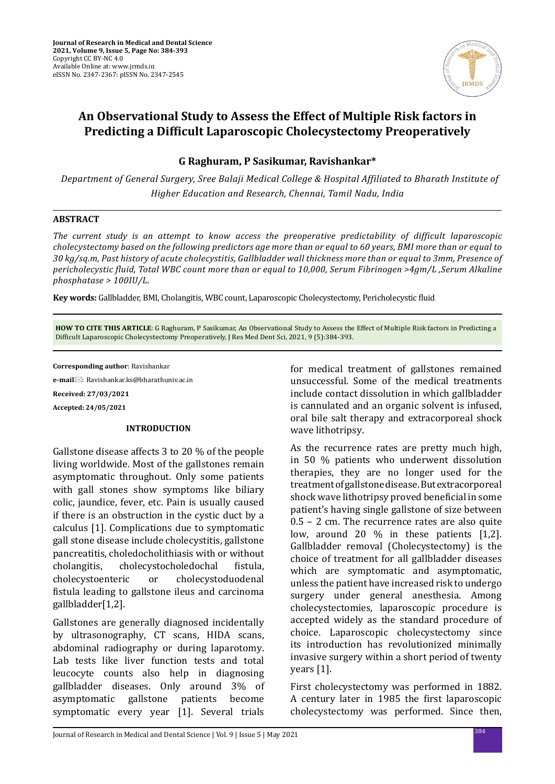

# **An Observational Study to Assess the Effect of Multiple Risk factors in Predicting a Difficult Laparoscopic Cholecystectomy Preoperatively**

**G Raghuram, P Sasikumar, Ravishankar\***

 *Department of General Surgery, Sree Balaji Medical College & Hospital Affiliated to Bharath Institute of Higher Education and Research, Chennai, Tamil Nadu, India*

### **ABSTRACT**

*The current study is an attempt to know access the preoperative predictability of difficult laparoscopic cholecystectomy based on the following predictors age more than or equal to 60 years, BMI more than or equal to 30 kg/sq.m, Past history of acute cholecystitis, Gallbladder wall thickness more than or equal to 3mm, Presence of pericholecystic fluid, Total WBC count more than or equal to 10,000, Serum Fibrinogen >4gm/L ,Serum Alkaline phosphatase > 100IU/L.*

**Key words:** Gallbladder, BMI, Cholangitis, WBC count, Laparoscopic Cholecystectomy, Pericholecystic fluid

**HOW TO CITE THIS ARTICLE**: G Raghuram, P Sasikumar, An Observational Study to Assess the Effect of Multiple Risk factors in Predicting a Difficult Laparoscopic Cholecystectomy Preoperatively, J Res Med Dent Sci, 2021, 9 (5):384-393.

**Corresponding author**: Ravishankar

**e-mail**: Ravishankar.ks@bharathuniv.ac.in **Received: 27/03/2021 Accepted: 24/05/2021**

### **INTRODUCTION**

Gallstone disease affects 3 to 20 % of the people living worldwide. Most of the gallstones remain asymptomatic throughout. Only some patients with gall stones show symptoms like biliary colic, jaundice, fever, etc. Pain is usually caused if there is an obstruction in the cystic duct by a calculus [1]. Complications due to symptomatic gall stone disease include cholecystitis, gallstone pancreatitis, choledocholithiasis with or without<br>cholangitis, cholecystocholedochal fistula, cholangitis, cholecystocholedochal<br>cholecystoenteric or cholecysto cholecystoduodenal fistula leading to gallstone ileus and carcinoma gallbladder[1,2].

Gallstones are generally diagnosed incidentally by ultrasonography, CT scans, HIDA scans, abdominal radiography or during laparotomy. Lab tests like liver function tests and total leucocyte counts also help in diagnosing gallbladder diseases. Only around 3% of asymptomatic gallstone patients become symptomatic every year [1]. Several trials for medical treatment of gallstones remained unsuccessful. Some of the medical treatments include contact dissolution in which gallbladder is cannulated and an organic solvent is infused, oral bile salt therapy and extracorporeal shock wave lithotripsy.

As the recurrence rates are pretty much high, in 50 % patients who underwent dissolution therapies, they are no longer used for the treatment of gallstone disease. But extracorporeal shock wave lithotripsy proved beneficial in some patient's having single gallstone of size between 0.5 – 2 cm. The recurrence rates are also quite low, around 20 % in these patients [1,2]. Gallbladder removal (Cholecystectomy) is the choice of treatment for all gallbladder diseases which are symptomatic and asymptomatic, unless the patient have increased risk to undergo surgery under general anesthesia. Among cholecystectomies, laparoscopic procedure is accepted widely as the standard procedure of choice. Laparoscopic cholecystectomy since its introduction has revolutionized minimally invasive surgery within a short period of twenty years [1].

First cholecystectomy was performed in 1882. A century later in 1985 the first laparoscopic cholecystectomy was performed. Since then,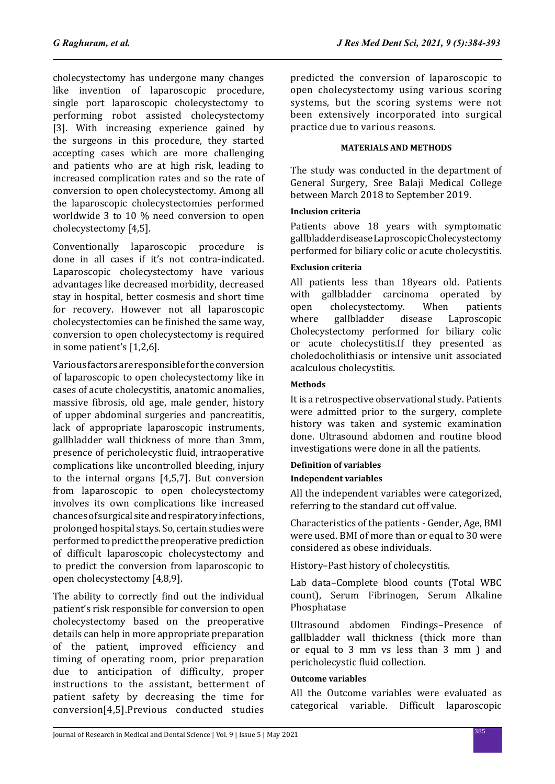cholecystectomy has undergone many changes like invention of laparoscopic procedure, single port laparoscopic cholecystectomy to performing robot assisted cholecystectomy [3]. With increasing experience gained by the surgeons in this procedure, they started accepting cases which are more challenging and patients who are at high risk, leading to increased complication rates and so the rate of conversion to open cholecystectomy. Among all the laparoscopic cholecystectomies performed worldwide 3 to 10 % need conversion to open cholecystectomy [4,5].

Conventionally laparoscopic procedure is done in all cases if it's not contra-indicated. Laparoscopic cholecystectomy have various advantages like decreased morbidity, decreased stay in hospital, better cosmesis and short time for recovery. However not all laparoscopic cholecystectomies can be finished the same way, conversion to open cholecystectomy is required in some patient's [1,2,6].

Various factors are responsible for the conversion of laparoscopic to open cholecystectomy like in cases of acute cholecystitis, anatomic anomalies, massive fibrosis, old age, male gender, history of upper abdominal surgeries and pancreatitis, lack of appropriate laparoscopic instruments, gallbladder wall thickness of more than 3mm, presence of pericholecystic fluid, intraoperative complications like uncontrolled bleeding, injury to the internal organs [4,5,7]. But conversion from laparoscopic to open cholecystectomy involves its own complications like increased chances of surgical site and respiratory infections, prolonged hospital stays. So, certain studies were performed to predict the preoperative prediction of difficult laparoscopic cholecystectomy and to predict the conversion from laparoscopic to open cholecystectomy [4,8,9].

The ability to correctly find out the individual patient's risk responsible for conversion to open cholecystectomy based on the preoperative details can help in more appropriate preparation of the patient, improved efficiency and timing of operating room, prior preparation due to anticipation of difficulty, proper instructions to the assistant, betterment of patient safety by decreasing the time for conversion[4,5].Previous conducted studies predicted the conversion of laparoscopic to open cholecystectomy using various scoring systems, but the scoring systems were not been extensively incorporated into surgical practice due to various reasons.

# **MATERIALS AND METHODS**

The study was conducted in the department of General Surgery, Sree Balaji Medical College between March 2018 to September 2019.

# **Inclusion criteria**

Patients above 18 years with symptomatic gallbladder disease Laproscopic Cholecystectomy performed for biliary colic or acute cholecystitis.

# **Exclusion criteria**

All patients less than 18years old. Patients<br>with gallbladder carcinoma operated by with gallbladder carcinoma operated by<br>open cholecystectomy. When patients open cholecystectomy. When patients<br>where gallbladder disease Laproscopic where gallbladder disease Laproscopic Cholecystectomy performed for biliary colic or acute cholecystitis.If they presented as choledocholithiasis or intensive unit associated acalculous cholecystitis.

# **Methods**

It is a retrospective observational study. Patients were admitted prior to the surgery, complete history was taken and systemic examination done. Ultrasound abdomen and routine blood investigations were done in all the patients.

### **Definition of variables**

### **Independent variables**

All the independent variables were categorized, referring to the standard cut off value.

Characteristics of the patients - Gender, Age, BMI were used. BMI of more than or equal to 30 were considered as obese individuals.

History–Past history of cholecystitis.

Lab data–Complete blood counts (Total WBC count), Serum Fibrinogen, Serum Alkaline Phosphatase

Ultrasound abdomen Findings–Presence of gallbladder wall thickness (thick more than or equal to 3 mm vs less than 3 mm ) and pericholecystic fluid collection.

### **Outcome variables**

All the Outcome variables were evaluated as categorical variable. Difficult laparoscopic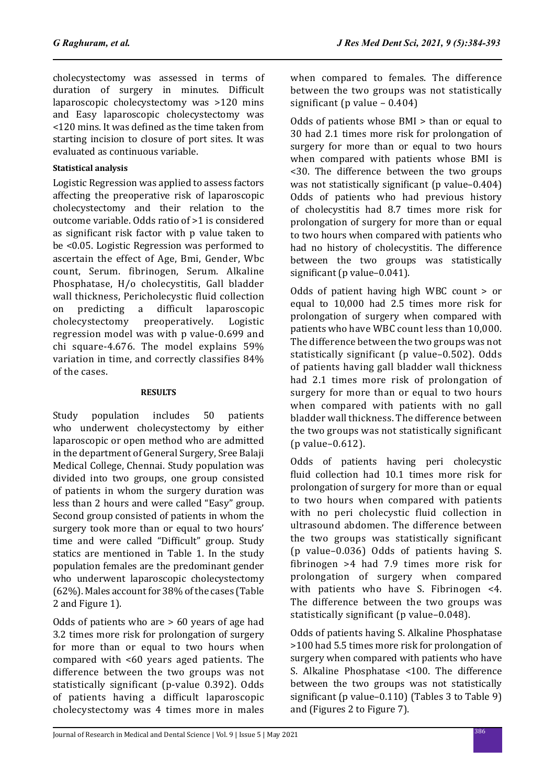cholecystectomy was assessed in terms of duration of surgery in minutes. Difficult laparoscopic cholecystectomy was >120 mins and Easy laparoscopic cholecystectomy was <120 mins. It was defined as the time taken from starting incision to closure of port sites. It was evaluated as continuous variable.

# **Statistical analysis**

Logistic Regression was applied to assess factors affecting the preoperative risk of laparoscopic cholecystectomy and their relation to the outcome variable. Odds ratio of >1 is considered as significant risk factor with p value taken to be <0.05. Logistic Regression was performed to ascertain the effect of Age, Bmi, Gender, Wbc count, Serum. fibrinogen, Serum. Alkaline Phosphatase, H/o cholecystitis, Gall bladder wall thickness, Pericholecystic fluid collection<br>on predicting a difficult laparoscopic on predicting a difficult laparoscopic<br>cholecystectomy preoperatively. Logistic cholecystectomy regression model was with p value-0.699 and chi square-4.676. The model explains 59% variation in time, and correctly classifies 84% of the cases.

### **RESULTS**

Study population includes 50 patients who underwent cholecystectomy by either laparoscopic or open method who are admitted in the department of General Surgery, Sree Balaji Medical College, Chennai. Study population was divided into two groups, one group consisted of patients in whom the surgery duration was less than 2 hours and were called "Easy" group. Second group consisted of patients in whom the surgery took more than or equal to two hours' time and were called "Difficult" group. Study statics are mentioned in Table 1. In the study population females are the predominant gender who underwent laparoscopic cholecystectomy (62%). Males account for 38% of the cases (Table 2 and Figure 1).

Odds of patients who are > 60 years of age had 3.2 times more risk for prolongation of surgery for more than or equal to two hours when compared with <60 years aged patients. The difference between the two groups was not statistically significant (p-value 0.392). Odds of patients having a difficult laparoscopic cholecystectomy was 4 times more in males when compared to females. The difference between the two groups was not statistically significant (p value – 0.404)

Odds of patients whose BMI > than or equal to 30 had 2.1 times more risk for prolongation of surgery for more than or equal to two hours when compared with patients whose BMI is <30. The difference between the two groups was not statistically significant (p value–0.404) Odds of patients who had previous history of cholecystitis had 8.7 times more risk for prolongation of surgery for more than or equal to two hours when compared with patients who had no history of cholecystitis. The difference between the two groups was statistically significant (p value–0.041).

Odds of patient having high WBC count > or equal to 10,000 had 2.5 times more risk for prolongation of surgery when compared with patients who have WBC count less than 10,000. The difference between the two groups was not statistically significant (p value–0.502). Odds of patients having gall bladder wall thickness had 2.1 times more risk of prolongation of surgery for more than or equal to two hours when compared with patients with no gall bladder wall thickness. The difference between the two groups was not statistically significant (p value–0.612).

Odds of patients having peri cholecystic fluid collection had 10.1 times more risk for prolongation of surgery for more than or equal to two hours when compared with patients with no peri cholecystic fluid collection in ultrasound abdomen. The difference between the two groups was statistically significant (p value–0.036) Odds of patients having S. fibrinogen >4 had 7.9 times more risk for prolongation of surgery when compared with patients who have S. Fibrinogen <4. The difference between the two groups was statistically significant (p value–0.048).

Odds of patients having S. Alkaline Phosphatase >100 had 5.5 times more risk for prolongation of surgery when compared with patients who have S. Alkaline Phosphatase <100. The difference between the two groups was not statistically significant (p value–0.110) (Tables 3 to Table 9) and (Figures 2 to Figure 7).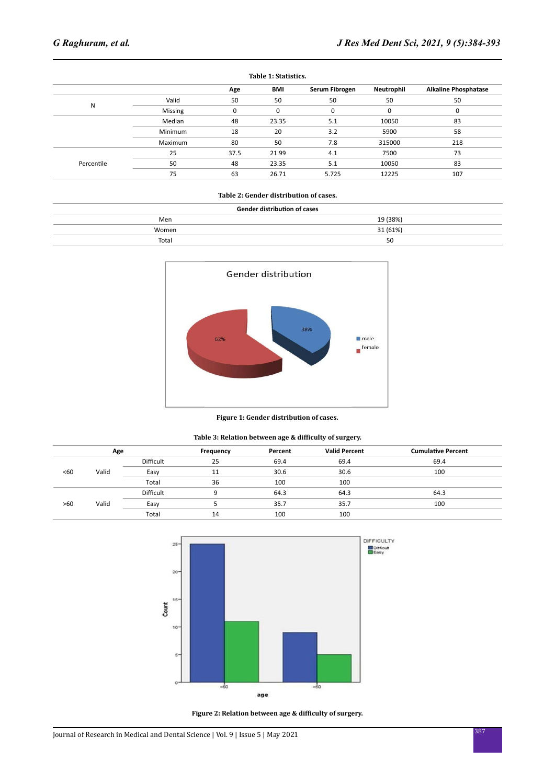| Table 1: Statistics. |         |      |       |                |            |                             |  |
|----------------------|---------|------|-------|----------------|------------|-----------------------------|--|
|                      |         | Age  | BMI   | Serum Fibrogen | Neutrophil | <b>Alkaline Phosphatase</b> |  |
|                      | Valid   | 50   | 50    | 50             | 50         | 50                          |  |
| N                    | Missing | 0    | 0     | 0              | 0          | 0                           |  |
|                      | Median  | 48   | 23.35 | 5.1            | 10050      | 83                          |  |
|                      | Minimum | 18   | 20    | 3.2            | 5900       | 58                          |  |
|                      | Maximum | 80   | 50    | 7.8            | 315000     | 218                         |  |
|                      | 25      | 37.5 | 21.99 | 4.1            | 7500       | 73                          |  |
| Percentile           | 50      | 48   | 23.35 | 5.1            | 10050      | 83                          |  |
|                      | 75      | 63   | 26.71 | 5.725          | 12225      | 107                         |  |
|                      |         |      |       |                |            |                             |  |

### **Table 2: Gender distribution of cases.**

| <b>Gender distribution of cases</b> |          |  |  |  |  |
|-------------------------------------|----------|--|--|--|--|
| Men                                 | 19 (38%) |  |  |  |  |
| Women                               | 31 (61%) |  |  |  |  |
| Total                               | 50       |  |  |  |  |



#### **Figure 1: Gender distribution of cases.**

### **Table 3: Relation between age & difficulty of surgery.**

| Age |       | Frequency | Percent | <b>Valid Percent</b> | <b>Cumulative Percent</b> |      |
|-----|-------|-----------|---------|----------------------|---------------------------|------|
|     |       | Difficult | 25      | 69.4                 | 69.4                      | 69.4 |
| <60 | Valid | Easy      | 11      | 30.6                 | 30.6                      | 100  |
|     | Total | 36        | 100     | 100                  |                           |      |
|     |       | Difficult | q       | 64.3                 | 64.3                      | 64.3 |
| >60 | Valid | Easy      |         | 35.7                 | 35.7                      | 100  |
|     |       | Total     | 14      | 100                  | 100                       |      |
|     |       |           |         |                      |                           |      |



**Figure 2: Relation between age & difficulty of surgery.**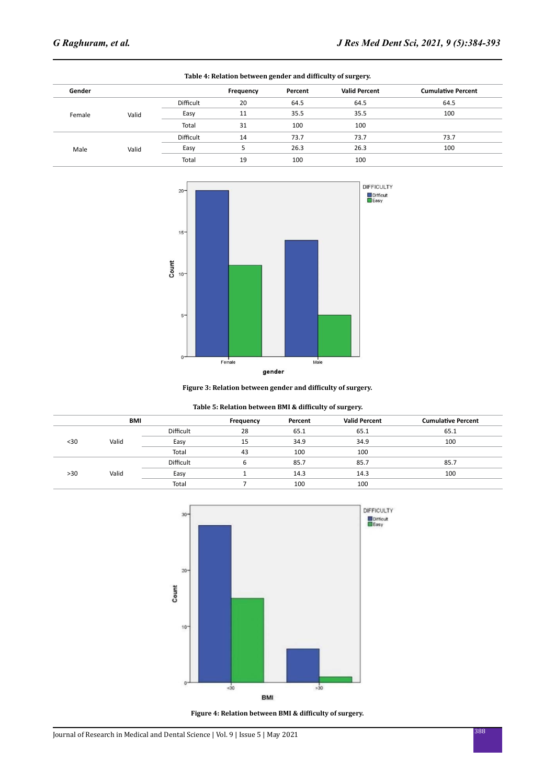| Table 4: Relation between gender and difficulty of surgery. |       |                  |           |         |                      |                           |  |
|-------------------------------------------------------------|-------|------------------|-----------|---------|----------------------|---------------------------|--|
| Gender                                                      |       |                  | Frequency | Percent | <b>Valid Percent</b> | <b>Cumulative Percent</b> |  |
|                                                             |       | <b>Difficult</b> | 20        | 64.5    | 64.5                 | 64.5                      |  |
| Female                                                      | Valid | Easy             | 11        | 35.5    | 35.5                 | 100                       |  |
|                                                             |       | Total            | 31        | 100     | 100                  |                           |  |
|                                                             |       | Difficult        | 14        | 73.7    | 73.7                 | 73.7                      |  |
| Male                                                        | Valid | Easy             | 5         | 26.3    | 26.3                 | 100                       |  |
|                                                             |       | Total            | 19        | 100     | 100                  |                           |  |



**Figure 3: Relation between gender and difficulty of surgery.**

| Table 5: Relation between BMI & difficulty of surgery. |  |  |  |
|--------------------------------------------------------|--|--|--|
|--------------------------------------------------------|--|--|--|

|      | BMI   |                  |    | Percent | <b>Valid Percent</b> | <b>Cumulative Percent</b> |
|------|-------|------------------|----|---------|----------------------|---------------------------|
|      |       | <b>Difficult</b> | 28 |         | 65.1                 | 65.1                      |
| $30$ | Valid | Easy             | 15 | 34.9    | 34.9                 | 100                       |
|      |       | Total            | 43 | 100     | 100                  |                           |
|      |       | <b>Difficult</b> | ь  | 85.7    | 85.7                 | 85.7                      |
| >30  | Valid | Easy             |    | 14.3    | 14.3                 | 100                       |
|      |       | Total            |    | 100     | 100                  |                           |
|      |       |                  |    |         |                      |                           |



**Figure 4: Relation between BMI & difficulty of surgery.**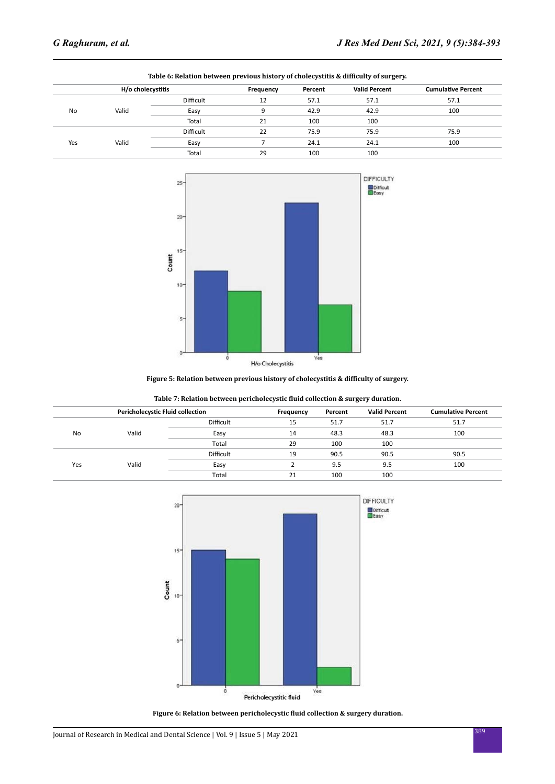|     | Table 6: Relation between previous history of cholecystitis & difficulty of surgery. |                  |    |         |                      |                           |  |  |  |
|-----|--------------------------------------------------------------------------------------|------------------|----|---------|----------------------|---------------------------|--|--|--|
|     | H/o cholecystitis                                                                    |                  |    | Percent | <b>Valid Percent</b> | <b>Cumulative Percent</b> |  |  |  |
|     |                                                                                      | Difficult        | 12 | 57.1    | 57.1                 | 57.1                      |  |  |  |
| No  | Valid                                                                                | Easy             | q  | 42.9    | 42.9                 | 100                       |  |  |  |
|     |                                                                                      | Total            | 21 | 100     | 100                  |                           |  |  |  |
|     |                                                                                      | <b>Difficult</b> | 22 | 75.9    | 75.9                 | 75.9                      |  |  |  |
| Yes | Valid                                                                                | Easy             |    | 24.1    | 24.1                 | 100                       |  |  |  |
|     |                                                                                      | Total            | 29 | 100     | 100                  |                           |  |  |  |



#### **Figure 5: Relation between previous history of cholecystitis & difficulty of surgery.**

| <b>Pericholecystic Fluid collection</b> |       |           | Frequency | Percent | <b>Valid Percent</b> | <b>Cumulative Percent</b> |
|-----------------------------------------|-------|-----------|-----------|---------|----------------------|---------------------------|
|                                         |       | Difficult | 15        | 51.7    | 51.7                 | 51.7                      |
| No                                      | Valid | Easy      | 14        | 48.3    | 48.3                 | 100                       |
|                                         |       | Total     | 29        | 100     | 100                  |                           |
|                                         |       | Difficult | 19        | 90.5    | 90.5                 | 90.5                      |
| Yes                                     | Valid | Easy      |           | 9.5     | 9.5                  | 100                       |
|                                         |       | Total     | 21        | 100     | 100                  |                           |



**Figure 6: Relation between pericholecystic fluid collection & surgery duration.**

# <sup>389</sup> Journal of Research in Medical and Dental Science | Vol. 9 | Issue 5 | May 2021

### **Table 7: Relation between pericholecystic fluid collection & surgery duration.**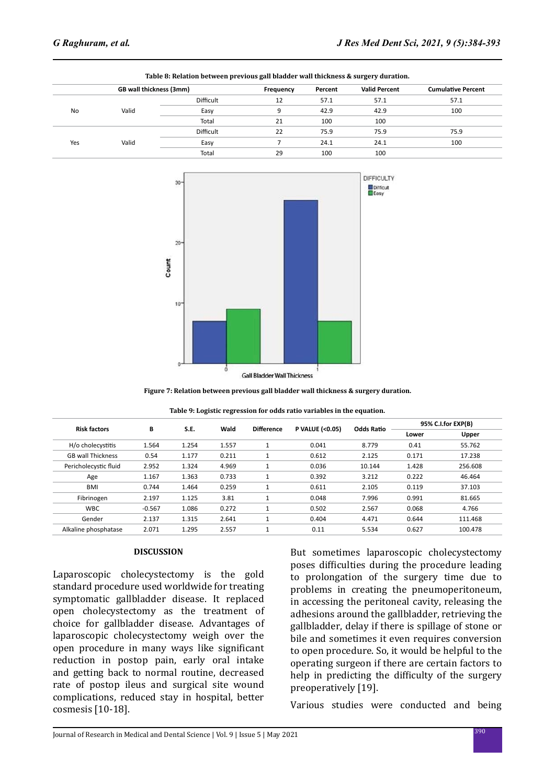|     | Table 8: Relation between previous gall bladder wall thickness & surgery duration. |                  |    |         |                      |                           |  |  |
|-----|------------------------------------------------------------------------------------|------------------|----|---------|----------------------|---------------------------|--|--|
|     | GB wall thickness (3mm)                                                            |                  |    | Percent | <b>Valid Percent</b> | <b>Cumulative Percent</b> |  |  |
|     |                                                                                    | Difficult        | 12 | 57.1    | 57.1                 | 57.1                      |  |  |
| No  | Valid                                                                              | Easy             | 9  | 42.9    | 42.9                 | 100                       |  |  |
|     |                                                                                    | Total            | 21 | 100     | 100                  |                           |  |  |
|     |                                                                                    | <b>Difficult</b> | 22 | 75.9    | 75.9                 | 75.9                      |  |  |
| Yes | Valid                                                                              | Easy             |    | 24.1    | 24.1                 | 100                       |  |  |
|     |                                                                                    | Total            | 29 | 100     | 100                  |                           |  |  |



**Figure 7: Relation between previous gall bladder wall thickness & surgery duration.**

| <b>Risk factors</b>      | В<br>S.E. |       | Wald  | <b>Difference</b> | <b>P VALUE (&lt;0.05)</b> | <b>Odds Ratio</b> | 95% C.I.for EXP(B) |         |
|--------------------------|-----------|-------|-------|-------------------|---------------------------|-------------------|--------------------|---------|
|                          |           |       |       |                   |                           |                   | Lower              | Upper   |
| H/o cholecystitis        | 1.564     | 1.254 | 1.557 | $\mathbf{1}$      | 0.041                     | 8.779             | 0.41               | 55.762  |
| <b>GB wall Thickness</b> | 0.54      | 1.177 | 0.211 | 1                 | 0.612                     | 2.125             | 0.171              | 17.238  |
| Pericholecystic fluid    | 2.952     | 1.324 | 4.969 | 1                 | 0.036                     | 10.144            | 1.428              | 256,608 |
| Age                      | 1.167     | 1.363 | 0.733 |                   | 0.392                     | 3.212             | 0.222              | 46.464  |
| <b>BMI</b>               | 0.744     | 1.464 | 0.259 | 1                 | 0.611                     | 2.105             | 0.119              | 37.103  |
| Fibrinogen               | 2.197     | 1.125 | 3.81  | 1                 | 0.048                     | 7.996             | 0.991              | 81.665  |
| <b>WBC</b>               | $-0.567$  | 1.086 | 0.272 | $\mathbf{1}$      | 0.502                     | 2.567             | 0.068              | 4.766   |
| Gender                   | 2.137     | 1.315 | 2.641 | 1                 | 0.404                     | 4.471             | 0.644              | 111.468 |
| Alkaline phosphatase     | 2.071     | 1.295 | 2.557 |                   | 0.11                      | 5.534             | 0.627              | 100.478 |

#### **DISCUSSION**

Laparoscopic cholecystectomy is the gold standard procedure used worldwide for treating symptomatic gallbladder disease. It replaced open cholecystectomy as the treatment of choice for gallbladder disease. Advantages of laparoscopic cholecystectomy weigh over the open procedure in many ways like significant reduction in postop pain, early oral intake and getting back to normal routine, decreased rate of postop ileus and surgical site wound complications, reduced stay in hospital, better cosmesis [10-18].

But sometimes laparoscopic cholecystectomy poses difficulties during the procedure leading to prolongation of the surgery time due to problems in creating the pneumoperitoneum, in accessing the peritoneal cavity, releasing the adhesions around the gallbladder, retrieving the gallbladder, delay if there is spillage of stone or bile and sometimes it even requires conversion to open procedure. So, it would be helpful to the operating surgeon if there are certain factors to help in predicting the difficulty of the surgery preoperatively [19].

Various studies were conducted and being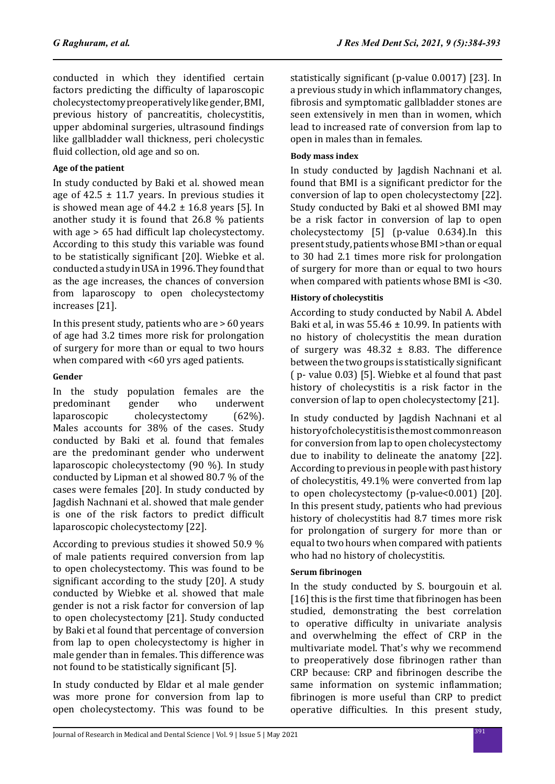conducted in which they identified certain factors predicting the difficulty of laparoscopic cholecystectomy preoperatively like gender, BMI, previous history of pancreatitis, cholecystitis, upper abdominal surgeries, ultrasound findings like gallbladder wall thickness, peri cholecystic fluid collection, old age and so on.

# **Age of the patient**

In study conducted by Baki et al. showed mean age of  $42.5 \pm 11.7$  years. In previous studies it is showed mean age of  $44.2 \pm 16.8$  years [5]. In another study it is found that 26.8 % patients with age  $> 65$  had difficult lap cholecystectomy. According to this study this variable was found to be statistically significant [20]. Wiebke et al. conducted a study in USA in 1996. They found that as the age increases, the chances of conversion from laparoscopy to open cholecystectomy increases [21].

In this present study, patients who are > 60 years of age had 3.2 times more risk for prolongation of surgery for more than or equal to two hours when compared with <60 yrs aged patients.

# **Gender**

In the study population females are the<br>predominant gender who underwent predominant gender who underwent<br>laparoscopic cholecystectomy (62%). cholecystectomy Males accounts for 38% of the cases. Study conducted by Baki et al. found that females are the predominant gender who underwent laparoscopic cholecystectomy (90 %). In study conducted by Lipman et al showed 80.7 % of the cases were females [20]. In study conducted by Jagdish Nachnani et al. showed that male gender is one of the risk factors to predict difficult laparoscopic cholecystectomy [22].

According to previous studies it showed 50.9 % of male patients required conversion from lap to open cholecystectomy. This was found to be significant according to the study [20]. A study conducted by Wiebke et al. showed that male gender is not a risk factor for conversion of lap to open cholecystectomy [21]. Study conducted by Baki et al found that percentage of conversion from lap to open cholecystectomy is higher in male gender than in females. This difference was not found to be statistically significant [5].

In study conducted by Eldar et al male gender was more prone for conversion from lap to open cholecystectomy. This was found to be statistically significant (p-value 0.0017) [23]. In a previous study in which inflammatory changes, fibrosis and symptomatic gallbladder stones are seen extensively in men than in women, which lead to increased rate of conversion from lap to open in males than in females.

# **Body mass index**

In study conducted by Jagdish Nachnani et al. found that BMI is a significant predictor for the conversion of lap to open cholecystectomy [22]. Study conducted by Baki et al showed BMI may be a risk factor in conversion of lap to open cholecystectomy [5] (p-value 0.634).In this present study, patients whose BMI >than or equal to 30 had 2.1 times more risk for prolongation of surgery for more than or equal to two hours when compared with patients whose BMI is <30.

# **History of cholecystitis**

According to study conducted by Nabil A. Abdel Baki et al, in was  $55.46 \pm 10.99$ . In patients with no history of cholecystitis the mean duration of surgery was  $48.32 \pm 8.83$ . The difference between the two groups is statistically significant ( p- value 0.03) [5]. Wiebke et al found that past history of cholecystitis is a risk factor in the conversion of lap to open cholecystectomy [21].

In study conducted by Jagdish Nachnani et al history of cholecystitis is the most common reason for conversion from lap to open cholecystectomy due to inability to delineate the anatomy [22]. According to previous in people with past history of cholecystitis, 49.1% were converted from lap to open cholecystectomy (p-value<0.001) [20]. In this present study, patients who had previous history of cholecystitis had 8.7 times more risk for prolongation of surgery for more than or equal to two hours when compared with patients who had no history of cholecystitis.

# **Serum fibrinogen**

In the study conducted by S. bourgouin et al. [16] this is the first time that fibrinogen has been studied, demonstrating the best correlation to operative difficulty in univariate analysis and overwhelming the effect of CRP in the multivariate model. That's why we recommend to preoperatively dose fibrinogen rather than CRP because: CRP and fibrinogen describe the same information on systemic inflammation; fibrinogen is more useful than CRP to predict operative difficulties. In this present study,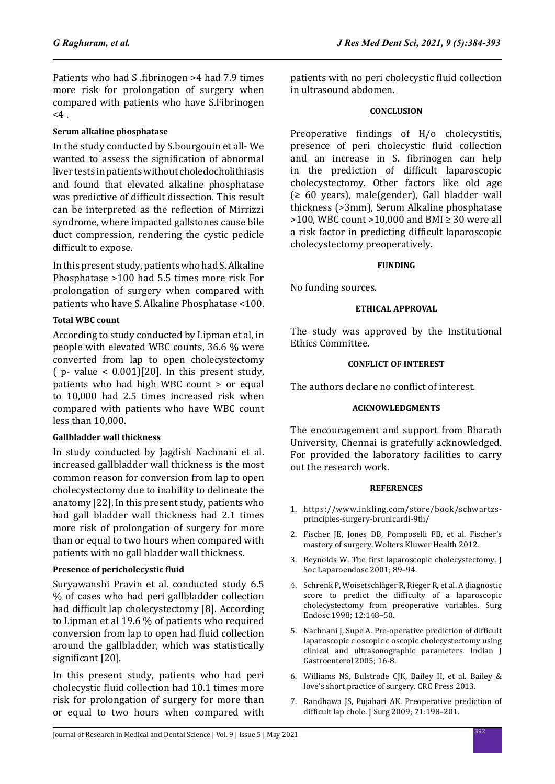Patients who had S .fibrinogen >4 had 7.9 times more risk for prolongation of surgery when compared with patients who have S.Fibrinogen  $<$ 4.

### **Serum alkaline phosphatase**

In the study conducted by S.bourgouin et all- We wanted to assess the signification of abnormal liver tests in patients without choledocholithiasis and found that elevated alkaline phosphatase was predictive of difficult dissection. This result can be interpreted as the reflection of Mirrizzi syndrome, where impacted gallstones cause bile duct compression, rendering the cystic pedicle difficult to expose.

In this present study, patients who had S. Alkaline Phosphatase >100 had 5.5 times more risk For prolongation of surgery when compared with patients who have S. Alkaline Phosphatase <100.

### **Total WBC count**

According to study conducted by Lipman et al, in people with elevated WBC counts, 36.6 % were converted from lap to open cholecystectomy  $(p-$  value  $\leq$  0.001)[20]. In this present study, patients who had high WBC count > or equal to 10,000 had 2.5 times increased risk when compared with patients who have WBC count less than 10,000.

### **Gallbladder wall thickness**

In study conducted by Jagdish Nachnani et al. increased gallbladder wall thickness is the most common reason for conversion from lap to open cholecystectomy due to inability to delineate the anatomy [22]. In this present study, patients who had gall bladder wall thickness had 2.1 times more risk of prolongation of surgery for more than or equal to two hours when compared with patients with no gall bladder wall thickness.

### **Presence of pericholecystic fluid**

Suryawanshi Pravin et al. conducted study 6.5 % of cases who had peri gallbladder collection had difficult lap cholecystectomy [8]. According to Lipman et al 19.6 % of patients who required conversion from lap to open had fluid collection around the gallbladder, which was statistically significant [20].

In this present study, patients who had peri cholecystic fluid collection had 10.1 times more risk for prolongation of surgery for more than or equal to two hours when compared with patients with no peri cholecystic fluid collection in ultrasound abdomen.

### **CONCLUSION**

Preoperative findings of H/o cholecystitis, presence of peri cholecystic fluid collection and an increase in S. fibrinogen can help in the prediction of difficult laparoscopic cholecystectomy. Other factors like old age  $\geq 60$  years), male(gender), Gall bladder wall thickness (>3mm), Serum Alkaline phosphatase  $>100$ , WBC count  $>10,000$  and BMI  $\geq 30$  were all a risk factor in predicting difficult laparoscopic cholecystectomy preoperatively.

### **FUNDING**

No funding sources.

### **ETHICAL APPROVAL**

The study was approved by the Institutional Ethics Committee.

# **CONFLICT OF INTEREST**

The authors declare no conflict of interest.

### **ACKNOWLEDGMENTS**

The encouragement and support from Bharath University, Chennai is gratefully acknowledged. For provided the laboratory facilities to carry out the research work.

### **REFERENCES**

- 1. https://www.inkling.com/store/book/schwartzsprinciples-surgery-brunicardi-9th/
- 2. Fischer JE, Jones DB, Pomposelli FB, et al. Fischer's mastery of surgery. Wolters Kluwer Health 2012.
- 3. Reynolds W. The first laparoscopic cholecystectomy. J Soc Laparoendosc 2001; 89–94.
- 4. Schrenk P, Woisetschläger R, Rieger R, et al. A diagnostic score to predict the difficulty of a laparoscopic cholecystectomy from preoperative variables. Surg Endosc 1998; 12:148–50.
- 5. Nachnani J, Supe A. Pre-operative prediction of difficult laparoscopic c oscopic c oscopic cholecystectomy using clinical and ultrasonographic parameters. Indian J Gastroenterol 2005; 16-8.
- 6. Williams NS, Bulstrode CJK, Bailey H, et al. Bailey & love's short practice of surgery. CRC Press 2013.
- 7. Randhawa JS, Pujahari AK. Preoperative prediction of difficult lap chole. J Surg 2009; 71:198–201.